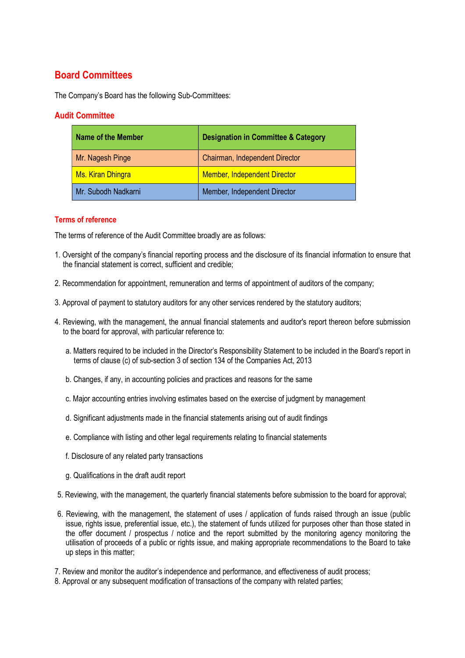# Board Committees

The Company's Board has the following Sub-Committees:

# Audit Committee

| Name of the Member       | <b>Designation in Committee &amp; Category</b> |
|--------------------------|------------------------------------------------|
| Mr. Nagesh Pinge         | Chairman, Independent Director                 |
| <b>Ms. Kiran Dhingra</b> | <b>Member, Independent Director</b>            |
| Mr. Subodh Nadkarni      | Member, Independent Director                   |

### Terms of reference

The terms of reference of the Audit Committee broadly are as follows:

- 1. Oversight of the company's financial reporting process and the disclosure of its financial information to ensure that the financial statement is correct, sufficient and credible;
- 2. Recommendation for appointment, remuneration and terms of appointment of auditors of the company;
- 3. Approval of payment to statutory auditors for any other services rendered by the statutory auditors;
- 4. Reviewing, with the management, the annual financial statements and auditor's report thereon before submission to the board for approval, with particular reference to:
	- a. Matters required to be included in the Director's Responsibility Statement to be included in the Board's report in terms of clause (c) of sub-section 3 of section 134 of the Companies Act, 2013
	- b. Changes, if any, in accounting policies and practices and reasons for the same
	- c. Major accounting entries involving estimates based on the exercise of judgment by management
	- d. Significant adjustments made in the financial statements arising out of audit findings
	- e. Compliance with listing and other legal requirements relating to financial statements
	- f. Disclosure of any related party transactions
	- g. Qualifications in the draft audit report
- 5. Reviewing, with the management, the quarterly financial statements before submission to the board for approval;
- 6. Reviewing, with the management, the statement of uses / application of funds raised through an issue (public issue, rights issue, preferential issue, etc.), the statement of funds utilized for purposes other than those stated in the offer document / prospectus / notice and the report submitted by the monitoring agency monitoring the utilisation of proceeds of a public or rights issue, and making appropriate recommendations to the Board to take up steps in this matter;
- 7. Review and monitor the auditor's independence and performance, and effectiveness of audit process;
- 8. Approval or any subsequent modification of transactions of the company with related parties;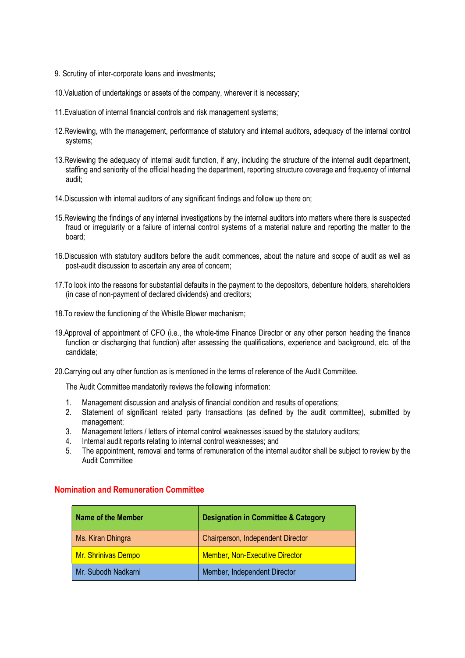- 9. Scrutiny of inter-corporate loans and investments;
- 10.Valuation of undertakings or assets of the company, wherever it is necessary;
- 11.Evaluation of internal financial controls and risk management systems;
- 12.Reviewing, with the management, performance of statutory and internal auditors, adequacy of the internal control systems;
- 13.Reviewing the adequacy of internal audit function, if any, including the structure of the internal audit department, staffing and seniority of the official heading the department, reporting structure coverage and frequency of internal audit;
- 14.Discussion with internal auditors of any significant findings and follow up there on;
- 15.Reviewing the findings of any internal investigations by the internal auditors into matters where there is suspected fraud or irregularity or a failure of internal control systems of a material nature and reporting the matter to the board;
- 16.Discussion with statutory auditors before the audit commences, about the nature and scope of audit as well as post-audit discussion to ascertain any area of concern;
- 17.To look into the reasons for substantial defaults in the payment to the depositors, debenture holders, shareholders (in case of non-payment of declared dividends) and creditors;
- 18.To review the functioning of the Whistle Blower mechanism;
- 19.Approval of appointment of CFO (i.e., the whole-time Finance Director or any other person heading the finance function or discharging that function) after assessing the qualifications, experience and background, etc. of the candidate;
- 20.Carrying out any other function as is mentioned in the terms of reference of the Audit Committee.

The Audit Committee mandatorily reviews the following information:

- 1. Management discussion and analysis of financial condition and results of operations;
- 2. Statement of significant related party transactions (as defined by the audit committee), submitted by management;
- 3. Management letters / letters of internal control weaknesses issued by the statutory auditors;
- 4. Internal audit reports relating to internal control weaknesses; and
- 5. The appointment, removal and terms of remuneration of the internal auditor shall be subject to review by the Audit Committee

| Name of the Member  | <b>Designation in Committee &amp; Category</b> |
|---------------------|------------------------------------------------|
| Ms. Kiran Dhingra   | Chairperson, Independent Director              |
| Mr. Shrinivas Dempo | <b>Member, Non-Executive Director</b>          |
| Mr. Subodh Nadkarni | Member, Independent Director                   |

#### Nomination and Remuneration Committee